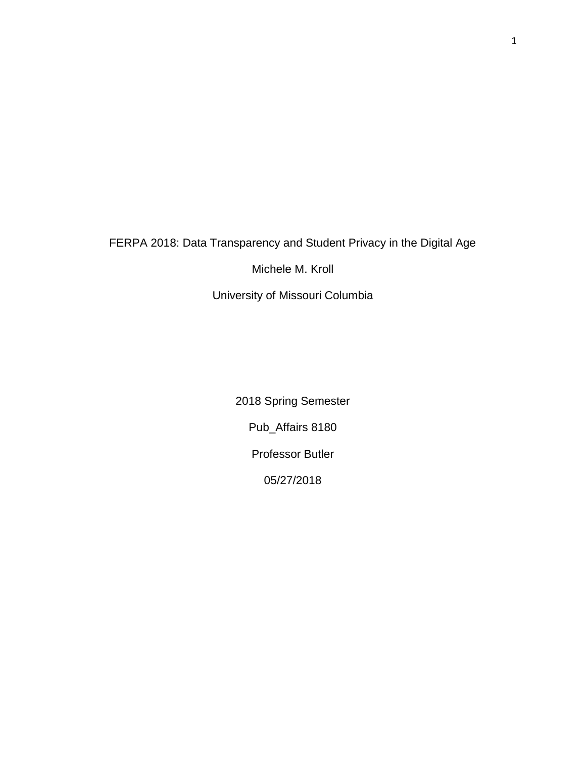# FERPA 2018: Data Transparency and Student Privacy in the Digital Age

Michele M. Kroll

University of Missouri Columbia

2018 Spring Semester Pub\_Affairs 8180 Professor Butler 05/27/2018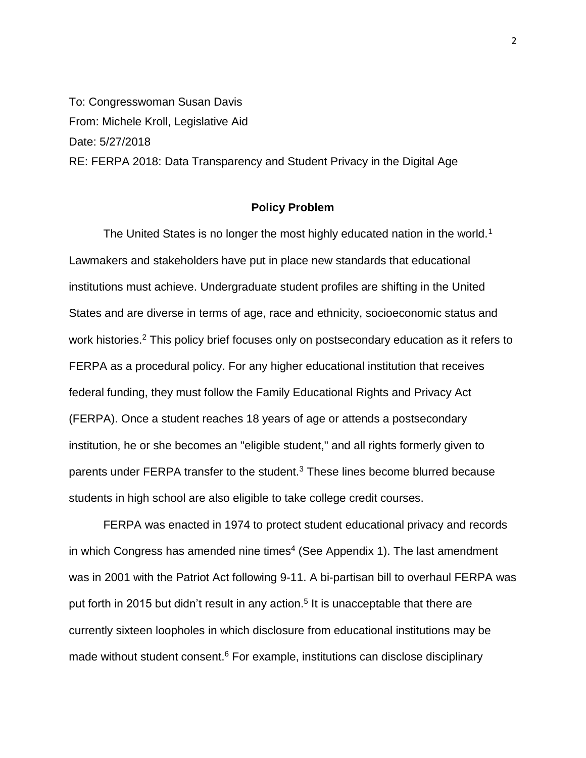To: Congresswoman Susan Davis From: Michele Kroll, Legislative Aid Date: 5/27/2018 RE: FERPA 2018: Data Transparency and Student Privacy in the Digital Age

# **Policy Problem**

The United States is no longer the most highly educated nation in the world.<sup>1</sup> Lawmakers and stakeholders have put in place new standards that educational institutions must achieve. Undergraduate student profiles are shifting in the United States and are diverse in terms of age, race and ethnicity, socioeconomic status and work histories.<sup>2</sup> This policy brief focuses only on postsecondary education as it refers to FERPA as a procedural policy. For any higher educational institution that receives federal funding, they must follow the Family Educational Rights and Privacy Act (FERPA). Once a student reaches 18 years of age or attends a postsecondary institution, he or she becomes an "eligible student," and all rights formerly given to parents under FERPA transfer to the student. $3$  These lines become blurred because students in high school are also eligible to take college credit courses.

FERPA was enacted in 1974 to protect student educational privacy and records in which Congress has amended nine times<sup>4</sup> (See Appendix 1). The last amendment was in 2001 with the Patriot Act following 9-11. A bi-partisan bill to overhaul FERPA was put forth in 2015 but didn't result in any action.<sup>5</sup> It is unacceptable that there are currently sixteen loopholes in which disclosure from educational institutions may be made without student consent.<sup>6</sup> For example, institutions can disclose disciplinary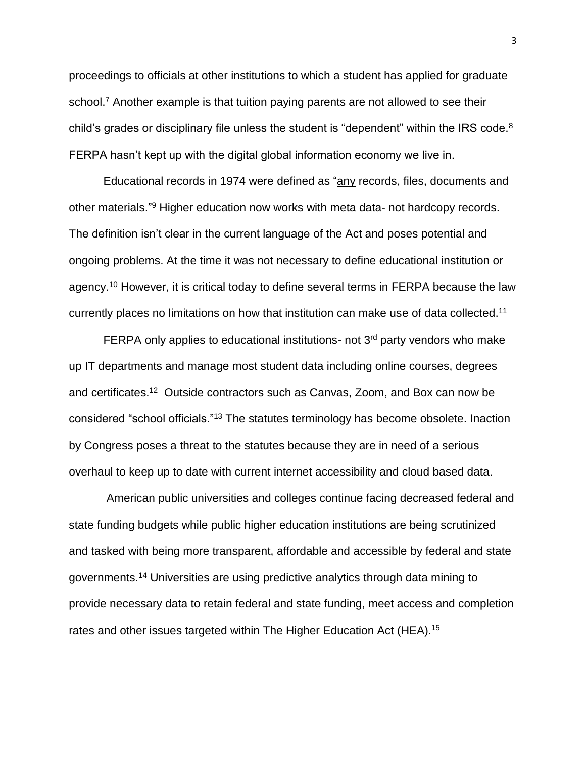proceedings to officials at other institutions to which a student has applied for graduate school.<sup>7</sup> Another example is that tuition paying parents are not allowed to see their child's grades or disciplinary file unless the student is "dependent" within the IRS code.<sup>8</sup> FERPA hasn't kept up with the digital global information economy we live in.

Educational records in 1974 were defined as "any records, files, documents and other materials."<sup>9</sup> Higher education now works with meta data- not hardcopy records. The definition isn't clear in the current language of the Act and poses potential and ongoing problems. At the time it was not necessary to define educational institution or agency.<sup>10</sup> However, it is critical today to define several terms in FERPA because the law currently places no limitations on how that institution can make use of data collected.<sup>11</sup>

FERPA only applies to educational institutions- not  $3<sup>rd</sup>$  party vendors who make up IT departments and manage most student data including online courses, degrees and certificates. <sup>12</sup> Outside contractors such as Canvas, Zoom, and Box can now be considered "school officials."<sup>13</sup> The statutes terminology has become obsolete. Inaction by Congress poses a threat to the statutes because they are in need of a serious overhaul to keep up to date with current internet accessibility and cloud based data.

American public universities and colleges continue facing decreased federal and state funding budgets while public higher education institutions are being scrutinized and tasked with being more transparent, affordable and accessible by federal and state governments. <sup>14</sup> Universities are using predictive analytics through data mining to provide necessary data to retain federal and state funding, meet access and completion rates and other issues targeted within The Higher Education Act (HEA).<sup>15</sup>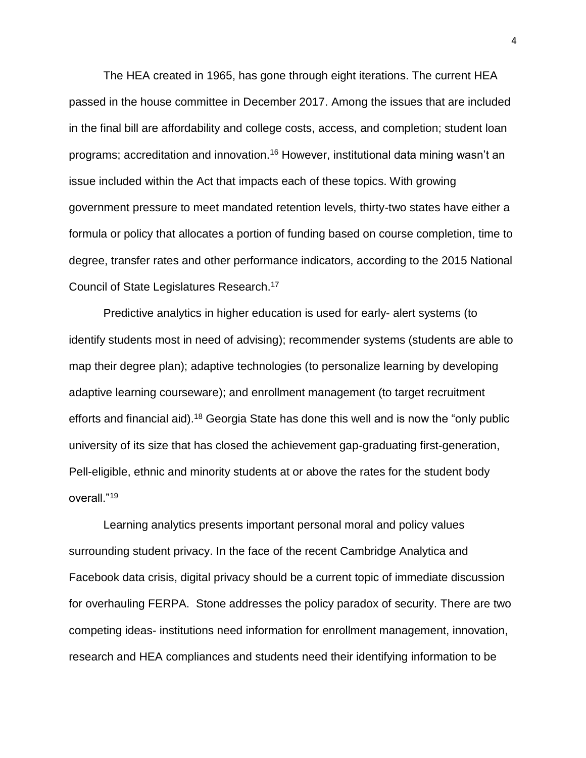The HEA created in 1965, has gone through eight iterations. The current HEA passed in the house committee in December 2017. Among the issues that are included in the final bill are affordability and college costs, access, and completion; student loan programs; accreditation and innovation.<sup>16</sup> However, institutional data mining wasn't an issue included within the Act that impacts each of these topics. With growing government pressure to meet mandated retention levels, thirty-two states have either a formula or policy that allocates a portion of funding based on course completion, time to degree, transfer rates and other performance indicators, according to the 2015 National Council of State Legislatures Research.<sup>17</sup>

Predictive analytics in higher education is used for early- alert systems (to identify students most in need of advising); recommender systems (students are able to map their degree plan); adaptive technologies (to personalize learning by developing adaptive learning courseware); and enrollment management (to target recruitment efforts and financial aid).<sup>18</sup> Georgia State has done this well and is now the "only public university of its size that has closed the achievement gap-graduating first-generation, Pell-eligible, ethnic and minority students at or above the rates for the student body overall."<sup>19</sup>

Learning analytics presents important personal moral and policy values surrounding student privacy. In the face of the recent Cambridge Analytica and Facebook data crisis, digital privacy should be a current topic of immediate discussion for overhauling FERPA. Stone addresses the policy paradox of security. There are two competing ideas- institutions need information for enrollment management, innovation, research and HEA compliances and students need their identifying information to be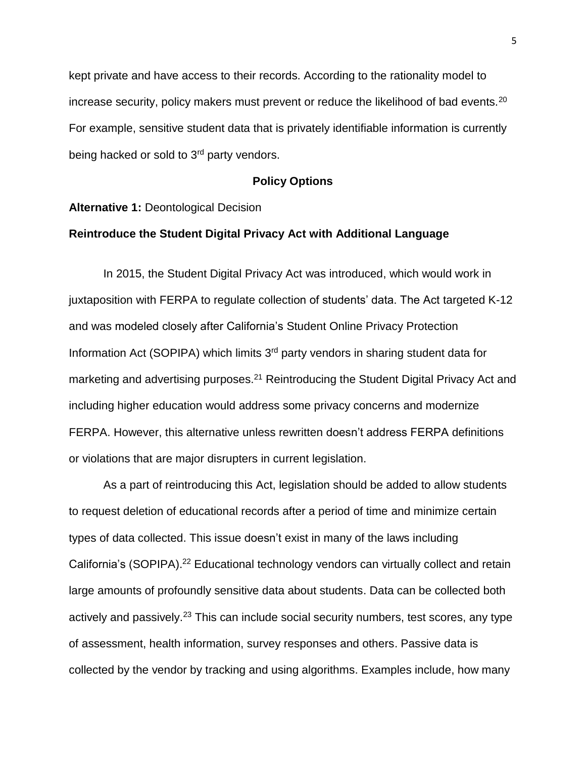kept private and have access to their records. According to the rationality model to increase security, policy makers must prevent or reduce the likelihood of bad events.<sup>20</sup> For example, sensitive student data that is privately identifiable information is currently being hacked or sold to 3<sup>rd</sup> party vendors.

## **Policy Options**

#### **Alternative 1:** Deontological Decision

#### **Reintroduce the Student Digital Privacy Act with Additional Language**

In 2015, the Student Digital Privacy Act was introduced, which would work in juxtaposition with FERPA to regulate collection of students' data. The Act targeted K-12 and was modeled closely after California's Student Online Privacy Protection Information Act (SOPIPA) which limits 3rd party vendors in sharing student data for marketing and advertising purposes.<sup>21</sup> Reintroducing the Student Digital Privacy Act and including higher education would address some privacy concerns and modernize FERPA. However, this alternative unless rewritten doesn't address FERPA definitions or violations that are major disrupters in current legislation.

As a part of reintroducing this Act, legislation should be added to allow students to request deletion of educational records after a period of time and minimize certain types of data collected. This issue doesn't exist in many of the laws including California's (SOPIPA).<sup>22</sup> Educational technology vendors can virtually collect and retain large amounts of profoundly sensitive data about students. Data can be collected both actively and passively.<sup>23</sup> This can include social security numbers, test scores, any type of assessment, health information, survey responses and others. Passive data is collected by the vendor by tracking and using algorithms. Examples include, how many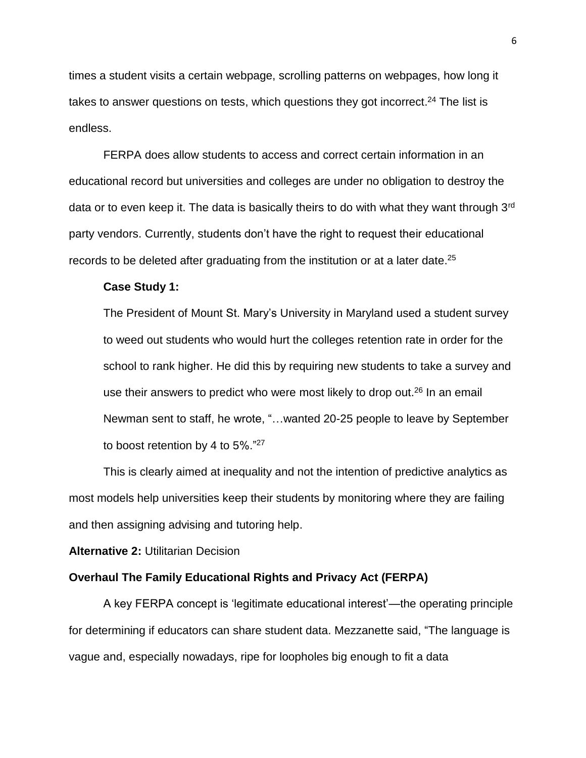times a student visits a certain webpage, scrolling patterns on webpages, how long it takes to answer questions on tests, which questions they got incorrect.<sup>24</sup> The list is endless.

FERPA does allow students to access and correct certain information in an educational record but universities and colleges are under no obligation to destroy the data or to even keep it. The data is basically theirs to do with what they want through 3<sup>rd</sup> party vendors. Currently, students don't have the right to request their educational records to be deleted after graduating from the institution or at a later date.<sup>25</sup>

#### **Case Study 1:**

The President of Mount St. Mary's University in Maryland used a student survey to weed out students who would hurt the colleges retention rate in order for the school to rank higher. He did this by requiring new students to take a survey and use their answers to predict who were most likely to drop out.<sup>26</sup> In an email Newman sent to staff, he wrote, "…wanted 20-25 people to leave by September to boost retention by 4 to 5%."<sup>27</sup>

This is clearly aimed at inequality and not the intention of predictive analytics as most models help universities keep their students by monitoring where they are failing and then assigning advising and tutoring help.

**Alternative 2:** Utilitarian Decision

#### **Overhaul The Family Educational Rights and Privacy Act (FERPA)**

A key FERPA concept is 'legitimate educational interest'—the operating principle for determining if educators can share student data. Mezzanette said, "The language is vague and, especially nowadays, ripe for loopholes big enough to fit a data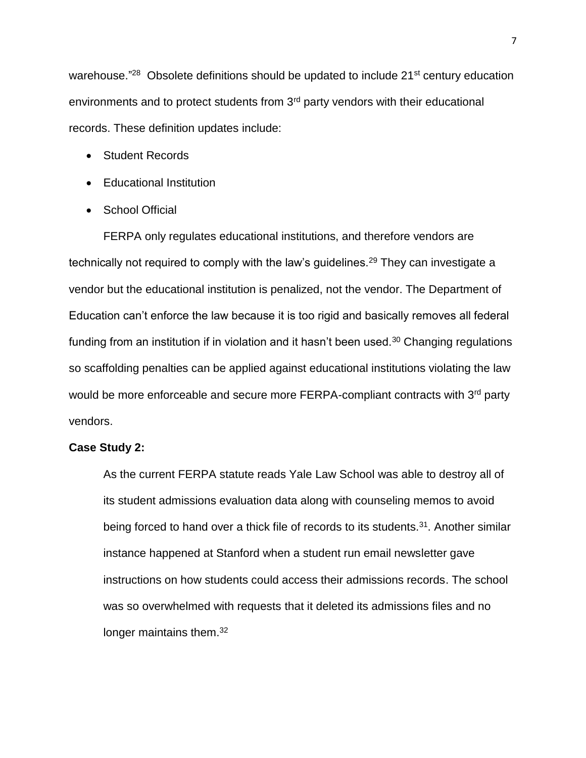warehouse."<sup>28</sup> Obsolete definitions should be updated to include 21<sup>st</sup> century education environments and to protect students from 3rd party vendors with their educational records. These definition updates include:

- Student Records
- Educational Institution
- School Official

FERPA only regulates educational institutions, and therefore vendors are technically not required to comply with the law's guidelines.<sup>29</sup> They can investigate a vendor but the educational institution is penalized, not the vendor. The Department of Education can't enforce the law because it is too rigid and basically removes all federal funding from an institution if in violation and it hasn't been used.<sup>30</sup> Changing regulations so scaffolding penalties can be applied against educational institutions violating the law would be more enforceable and secure more FERPA-compliant contracts with 3<sup>rd</sup> party vendors.

## **Case Study 2:**

As the current FERPA statute reads Yale Law School was able to destroy all of its student admissions evaluation data along with counseling memos to avoid being forced to hand over a thick file of records to its students.<sup>31</sup>. Another similar instance happened at Stanford when a student run email newsletter gave instructions on how students could access their admissions records. The school was so overwhelmed with requests that it deleted its admissions files and no longer maintains them.<sup>32</sup>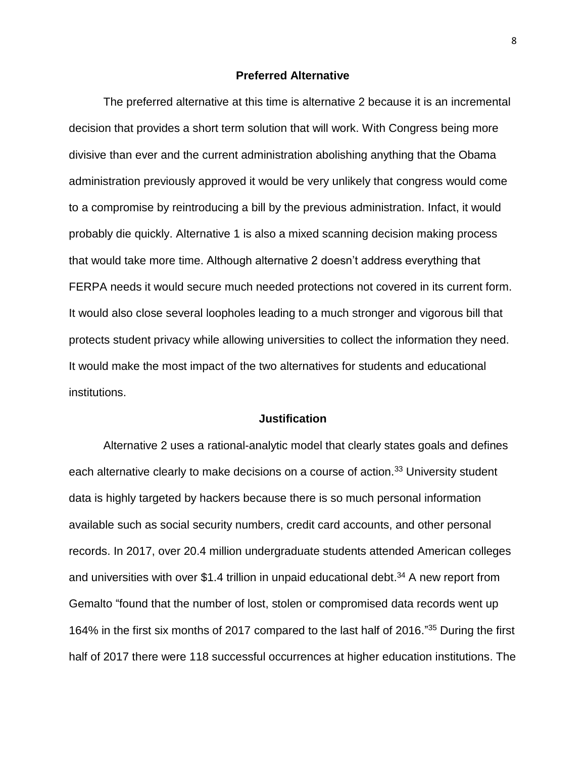## **Preferred Alternative**

The preferred alternative at this time is alternative 2 because it is an incremental decision that provides a short term solution that will work. With Congress being more divisive than ever and the current administration abolishing anything that the Obama administration previously approved it would be very unlikely that congress would come to a compromise by reintroducing a bill by the previous administration. Infact, it would probably die quickly. Alternative 1 is also a mixed scanning decision making process that would take more time. Although alternative 2 doesn't address everything that FERPA needs it would secure much needed protections not covered in its current form. It would also close several loopholes leading to a much stronger and vigorous bill that protects student privacy while allowing universities to collect the information they need. It would make the most impact of the two alternatives for students and educational institutions.

# **Justification**

Alternative 2 uses a rational-analytic model that clearly states goals and defines each alternative clearly to make decisions on a course of action.<sup>33</sup> University student data is highly targeted by hackers because there is so much personal information available such as social security numbers, credit card accounts, and other personal records. In 2017, over 20.4 million undergraduate students attended American colleges and universities with over \$1.4 trillion in unpaid educational debt. <sup>34</sup> A new report from Gemalto "found that the number of lost, stolen or compromised data records went up 164% in the first six months of 2017 compared to the last half of 2016." <sup>35</sup> During the first half of 2017 there were 118 successful occurrences at higher education institutions. The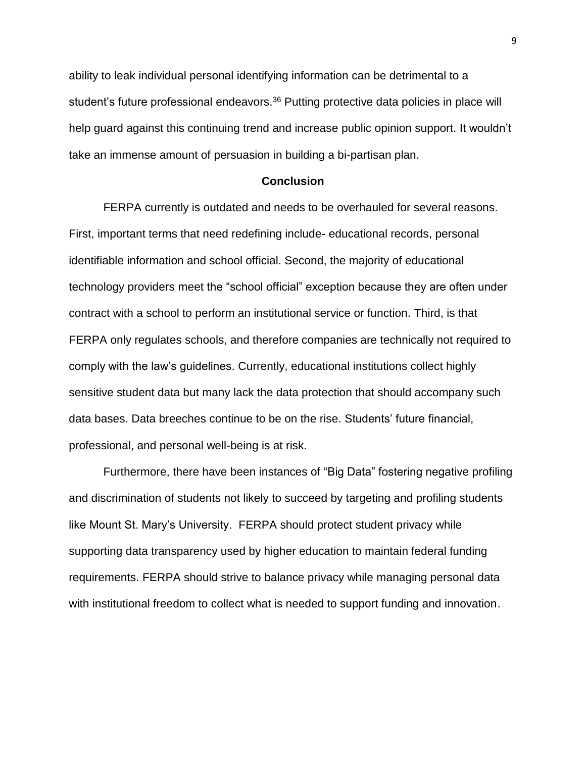ability to leak individual personal identifying information can be detrimental to a student's future professional endeavors.<sup>36</sup> Putting protective data policies in place will help guard against this continuing trend and increase public opinion support. It wouldn't take an immense amount of persuasion in building a bi-partisan plan.

## **Conclusion**

FERPA currently is outdated and needs to be overhauled for several reasons. First, important terms that need redefining include- educational records, personal identifiable information and school official. Second, the majority of educational technology providers meet the "school official" exception because they are often under contract with a school to perform an institutional service or function. Third, is that FERPA only regulates schools, and therefore companies are technically not required to comply with the law's guidelines. Currently, educational institutions collect highly sensitive student data but many lack the data protection that should accompany such data bases. Data breeches continue to be on the rise. Students' future financial, professional, and personal well-being is at risk.

Furthermore, there have been instances of "Big Data" fostering negative profiling and discrimination of students not likely to succeed by targeting and profiling students like Mount St. Mary's University. FERPA should protect student privacy while supporting data transparency used by higher education to maintain federal funding requirements. FERPA should strive to balance privacy while managing personal data with institutional freedom to collect what is needed to support funding and innovation.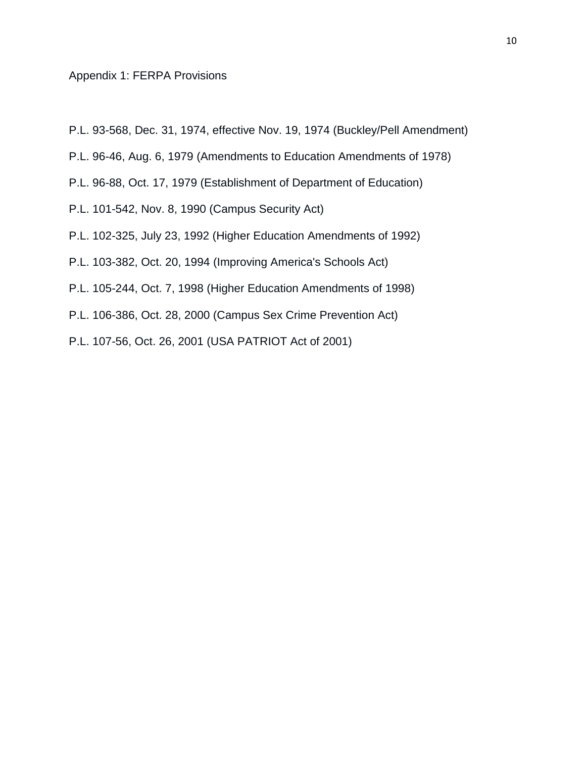## Appendix 1: FERPA Provisions

- P.L. 93-568, Dec. 31, 1974, effective Nov. 19, 1974 (Buckley/Pell Amendment)
- P.L. 96-46, Aug. 6, 1979 (Amendments to Education Amendments of 1978)
- P.L. 96-88, Oct. 17, 1979 (Establishment of Department of Education)
- P.L. 101-542, Nov. 8, 1990 (Campus Security Act)
- P.L. 102-325, July 23, 1992 (Higher Education Amendments of 1992)
- P.L. 103-382, Oct. 20, 1994 (Improving America's Schools Act)
- P.L. 105-244, Oct. 7, 1998 (Higher Education Amendments of 1998)
- P.L. 106-386, Oct. 28, 2000 (Campus Sex Crime Prevention Act)
- P.L. 107-56, Oct. 26, 2001 (USA PATRIOT Act of 2001)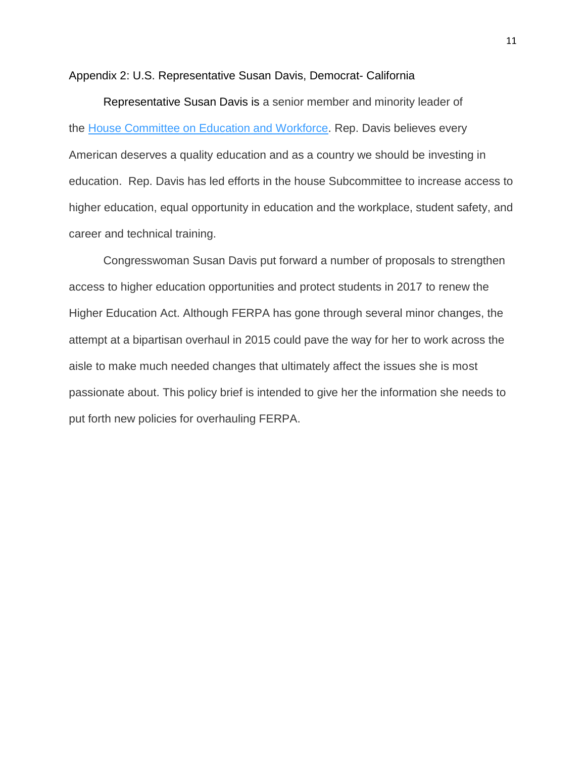Appendix 2: U.S. Representative Susan Davis, Democrat- California

Representative Susan Davis is a senior member and minority leader of the [House Committee on Education and](https://democrats-edworkforce.house.gov/) Workforce. Rep. Davis believes every American deserves a quality education and as a country we should be investing in education. Rep. Davis has led efforts in the house Subcommittee to increase access to higher education, equal opportunity in education and the workplace, student safety, and career and technical training.

Congresswoman Susan Davis put forward a number of proposals to strengthen access to higher education opportunities and protect students in 2017 to renew the Higher Education Act. Although FERPA has gone through several minor changes, the attempt at a bipartisan overhaul in 2015 could pave the way for her to work across the aisle to make much needed changes that ultimately affect the issues she is most passionate about. This policy brief is intended to give her the information she needs to put forth new policies for overhauling FERPA.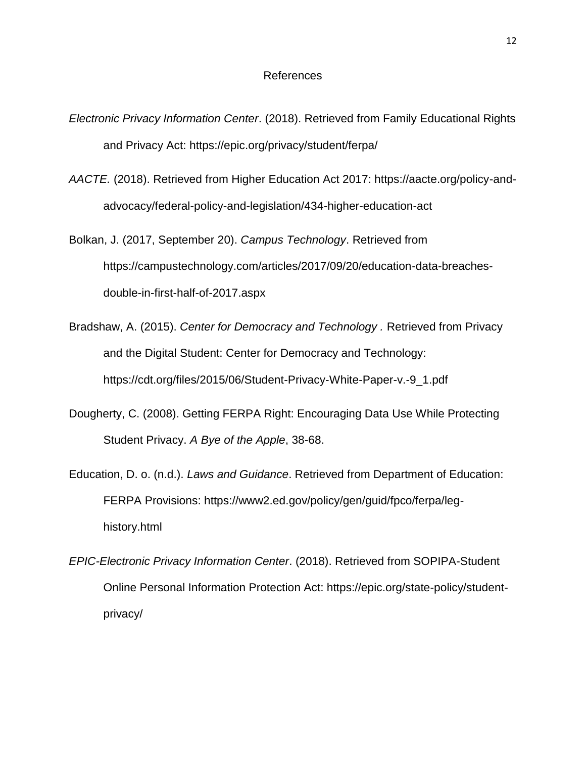# References

- *Electronic Privacy Information Center*. (2018). Retrieved from Family Educational Rights and Privacy Act: https://epic.org/privacy/student/ferpa/
- *AACTE.* (2018). Retrieved from Higher Education Act 2017: https://aacte.org/policy-andadvocacy/federal-policy-and-legislation/434-higher-education-act
- Bolkan, J. (2017, September 20). *Campus Technology*. Retrieved from https://campustechnology.com/articles/2017/09/20/education-data-breachesdouble-in-first-half-of-2017.aspx
- Bradshaw, A. (2015). *Center for Democracy and Technology .* Retrieved from Privacy and the Digital Student: Center for Democracy and Technology: https://cdt.org/files/2015/06/Student-Privacy-White-Paper-v.-9\_1.pdf
- Dougherty, C. (2008). Getting FERPA Right: Encouraging Data Use While Protecting Student Privacy. *A Bye of the Apple*, 38-68.
- Education, D. o. (n.d.). *Laws and Guidance*. Retrieved from Department of Education: FERPA Provisions: https://www2.ed.gov/policy/gen/guid/fpco/ferpa/leghistory.html
- *EPIC-Electronic Privacy Information Center*. (2018). Retrieved from SOPIPA-Student Online Personal Information Protection Act: https://epic.org/state-policy/studentprivacy/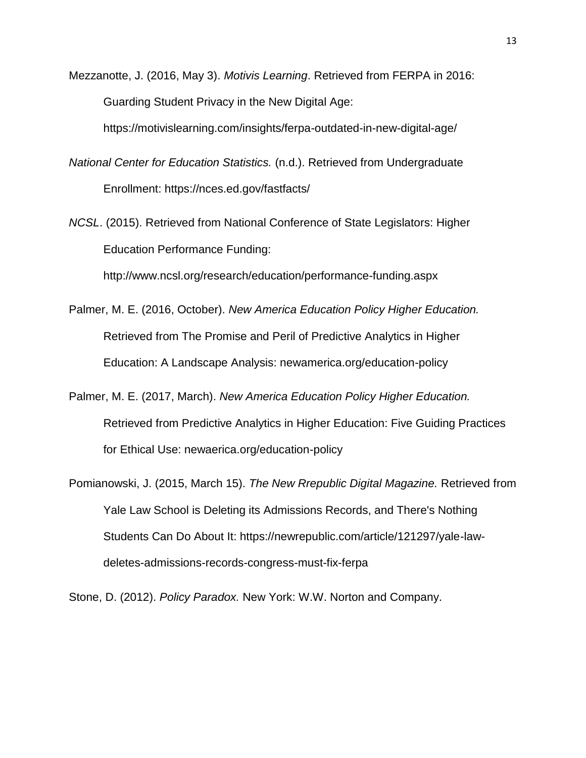Mezzanotte, J. (2016, May 3). *Motivis Learning*. Retrieved from FERPA in 2016: Guarding Student Privacy in the New Digital Age:

https://motivislearning.com/insights/ferpa-outdated-in-new-digital-age/

- *National Center for Education Statistics.* (n.d.). Retrieved from Undergraduate Enrollment: https://nces.ed.gov/fastfacts/
- *NCSL*. (2015). Retrieved from National Conference of State Legislators: Higher Education Performance Funding:

http://www.ncsl.org/research/education/performance-funding.aspx

- Palmer, M. E. (2016, October). *New America Education Policy Higher Education.* Retrieved from The Promise and Peril of Predictive Analytics in Higher Education: A Landscape Analysis: newamerica.org/education-policy
- Palmer, M. E. (2017, March). *New America Education Policy Higher Education.* Retrieved from Predictive Analytics in Higher Education: Five Guiding Practices for Ethical Use: newaerica.org/education-policy
- Pomianowski, J. (2015, March 15). *The New Rrepublic Digital Magazine.* Retrieved from Yale Law School is Deleting its Admissions Records, and There's Nothing Students Can Do About It: https://newrepublic.com/article/121297/yale-lawdeletes-admissions-records-congress-must-fix-ferpa

Stone, D. (2012). *Policy Paradox.* New York: W.W. Norton and Company.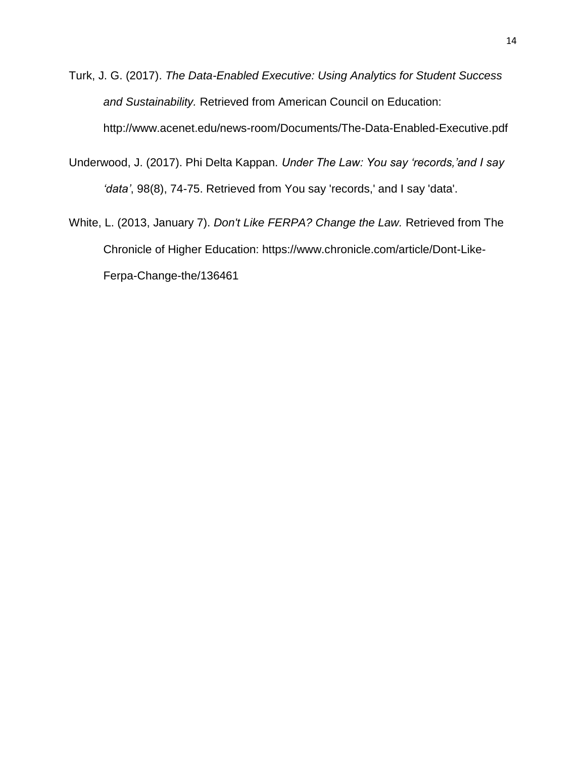- Turk, J. G. (2017). *The Data-Enabled Executive: Using Analytics for Student Success and Sustainability.* Retrieved from American Council on Education: http://www.acenet.edu/news-room/Documents/The-Data-Enabled-Executive.pdf
- Underwood, J. (2017). Phi Delta Kappan. *Under The Law: You say 'records,'and I say 'data'*, 98(8), 74-75. Retrieved from You say 'records,' and I say 'data'.
- White, L. (2013, January 7). *Don't Like FERPA? Change the Law.* Retrieved from The Chronicle of Higher Education: https://www.chronicle.com/article/Dont-Like-Ferpa-Change-the/136461